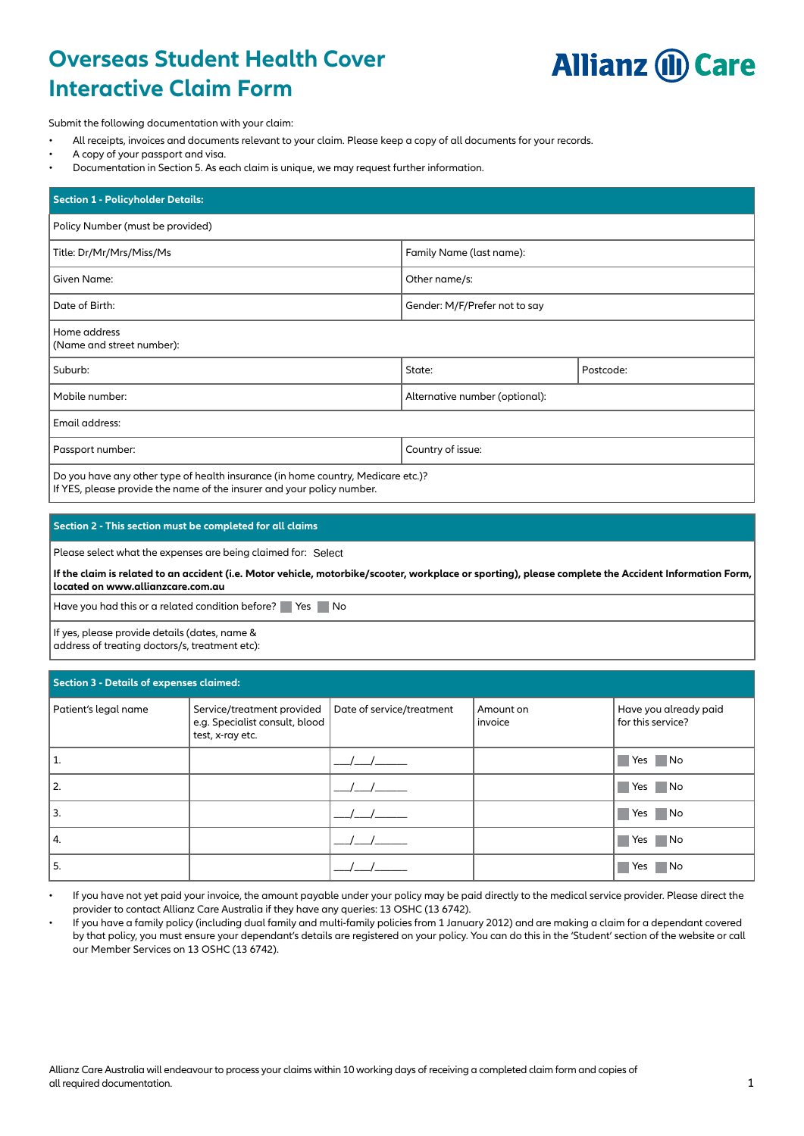# **Overseas Student Health Cover Interactive Claim Form**



Submit the following documentation with your claim:

- All receipts, invoices and documents relevant to your claim. Please keep a copy of all documents for your records.
- A copy of your passport and visa.
- Documentation in Section 5. As each claim is unique, we may request further information.

| <b>Section 1 - Policyholder Details:</b>                                                                                                                   |                                |           |  |  |  |
|------------------------------------------------------------------------------------------------------------------------------------------------------------|--------------------------------|-----------|--|--|--|
| Policy Number (must be provided)                                                                                                                           |                                |           |  |  |  |
| Title: Dr/Mr/Mrs/Miss/Ms                                                                                                                                   | Family Name (last name):       |           |  |  |  |
| Given Name:                                                                                                                                                | Other name/s:                  |           |  |  |  |
| Date of Birth:                                                                                                                                             | Gender: M/F/Prefer not to say  |           |  |  |  |
| Home address<br>(Name and street number):                                                                                                                  |                                |           |  |  |  |
| Suburb:                                                                                                                                                    | State:                         | Postcode: |  |  |  |
| Mobile number:                                                                                                                                             | Alternative number (optional): |           |  |  |  |
| Email address:                                                                                                                                             |                                |           |  |  |  |
| Passport number:                                                                                                                                           | Country of issue:              |           |  |  |  |
| Do you have any other type of health insurance (in home country, Medicare etc.)?<br>If YES, please provide the name of the insurer and your policy number. |                                |           |  |  |  |

## **Section 2 - This section must be completed for all claims**

Please select what the expenses are being claimed for: Select

**If the claim is related to an accident (i.e. Motor vehicle, motorbike/scooter, workplace or sporting), please complete the Accident Information Form, located on www.allianzcare.com.au**

Have you had this or a related condition before? Yes No

If yes, please provide details (dates, name & address of treating doctors/s, treatment etc):

| Section 3 - Details of expenses claimed: |                                                                                  |                           |                      |                                            |  |
|------------------------------------------|----------------------------------------------------------------------------------|---------------------------|----------------------|--------------------------------------------|--|
| Patient's legal name                     | Service/treatment provided<br>e.g. Specialist consult, blood<br>test, x-ray etc. | Date of service/treatment | Amount on<br>invoice | Have you already paid<br>for this service? |  |
| 1.                                       |                                                                                  |                           |                      | Yes No                                     |  |
| 2.                                       |                                                                                  |                           |                      | Yes No                                     |  |
| 3.                                       |                                                                                  |                           |                      | Yes No                                     |  |
| 14.                                      |                                                                                  |                           |                      | Yes No                                     |  |
| 5.                                       |                                                                                  |                           |                      | $\blacksquare$ No<br>Yes                   |  |

• If you have not yet paid your invoice, the amount payable under your policy may be paid directly to the medical service provider. Please direct the provider to contact Allianz Care Australia if they have any queries: 13 OSHC (13 6742).

• If you have a family policy (including dual family and multi-family policies from 1 January 2012) and are making a claim for a dependant covered by that policy, you must ensure your dependant's details are registered on your policy. You can do this in the 'Student' section of the website or call our Member Services on 13 OSHC (13 6742).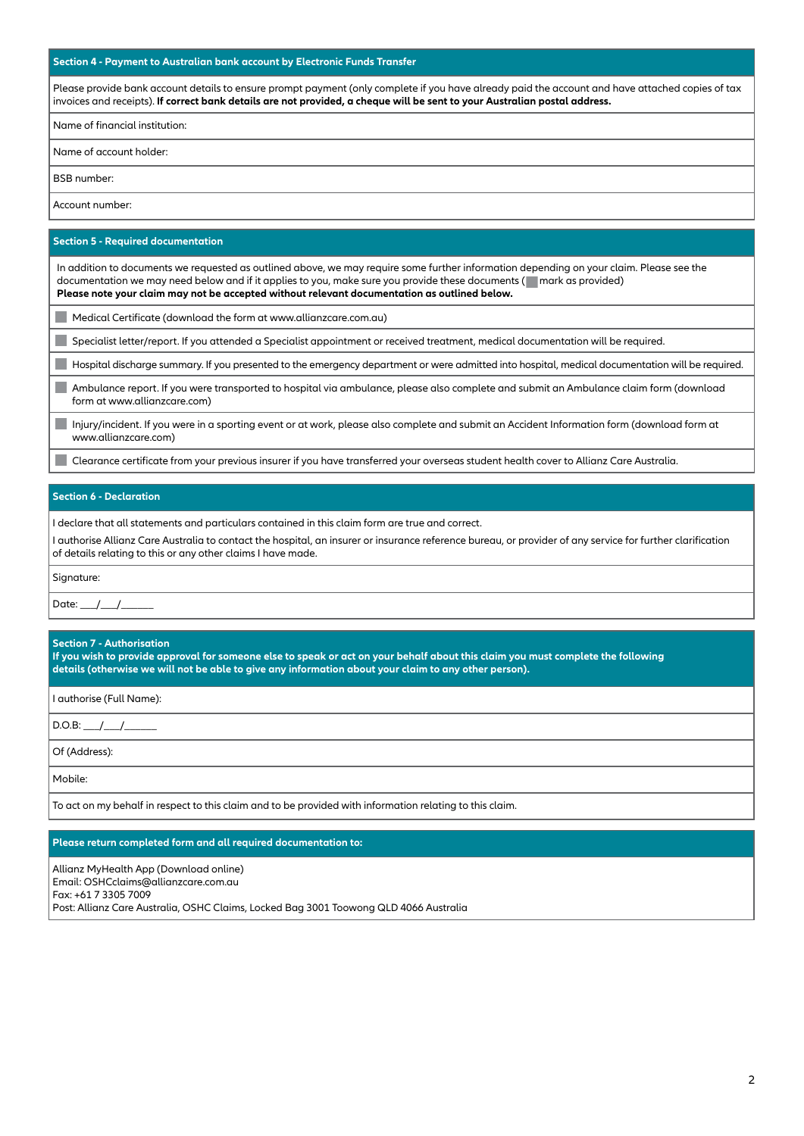## **Section 4 - Payment to Australian bank account by Electronic Funds Transfer**

Please provide bank account details to ensure prompt payment (only complete if you have already paid the account and have attached copies of tax invoices and receipts). **If correct bank details are not provided, a cheque will be sent to your Australian postal address.**

Name of financial institution:

Name of account holder:

BSB number:

Account number:

#### **Section 5 - Required documentation**

In addition to documents we requested as outlined above, we may require some further information depending on your claim. Please see the documentation we may need below and if it applies to you, make sure you provide these documents ( mark as provided) **Please note your claim may not be accepted without relevant documentation as outlined below.**

Medical Certificate (download the form at www.allianzcare.com.au)

Specialist letter/report. If you attended a Specialist appointment or received treatment, medical documentation will be required.

Hospital discharge summary. If you presented to the emergency department or were admitted into hospital, medical documentation will be required.

Ambulance report. If you were transported to hospital via ambulance, please also complete and submit an Ambulance claim form (download ٠ form at www.allianzcare.com)

Injury/incident. If you were in a sporting event or at work, please also complete and submit an Accident Information form (download form at www.allianzcare.com)

Clearance certificate from your previous insurer if you have transferred your overseas student health cover to Allianz Care Australia.

## **Section 6 - Declaration**

I declare that all statements and particulars contained in this claim form are true and correct.

I authorise Allianz Care Australia to contact the hospital, an insurer or insurance reference bureau, or provider of any service for further clarification of details relating to this or any other claims I have made.

Signature:

Date:  $/$  /

## **Section 7 - Authorisation**

**If you wish to provide approval for someone else to speak or act on your behalf about this claim you must complete the following details (otherwise we will not be able to give any information about your claim to any other person).** 

I authorise (Full Name):

D.O.B: \_\_\_/\_\_\_/\_\_\_\_\_\_

Of (Address):

Mobile:

To act on my behalf in respect to this claim and to be provided with information relating to this claim.

## **Please return completed form and all required documentation to:**

Allianz MyHealth App (Download online) Email: OSHCclaims@allianzcare.com.au Fax: +61 7 3305 7009 Post: Allianz Care Australia, OSHC Claims, Locked Bag 3001 Toowong QLD 4066 Australia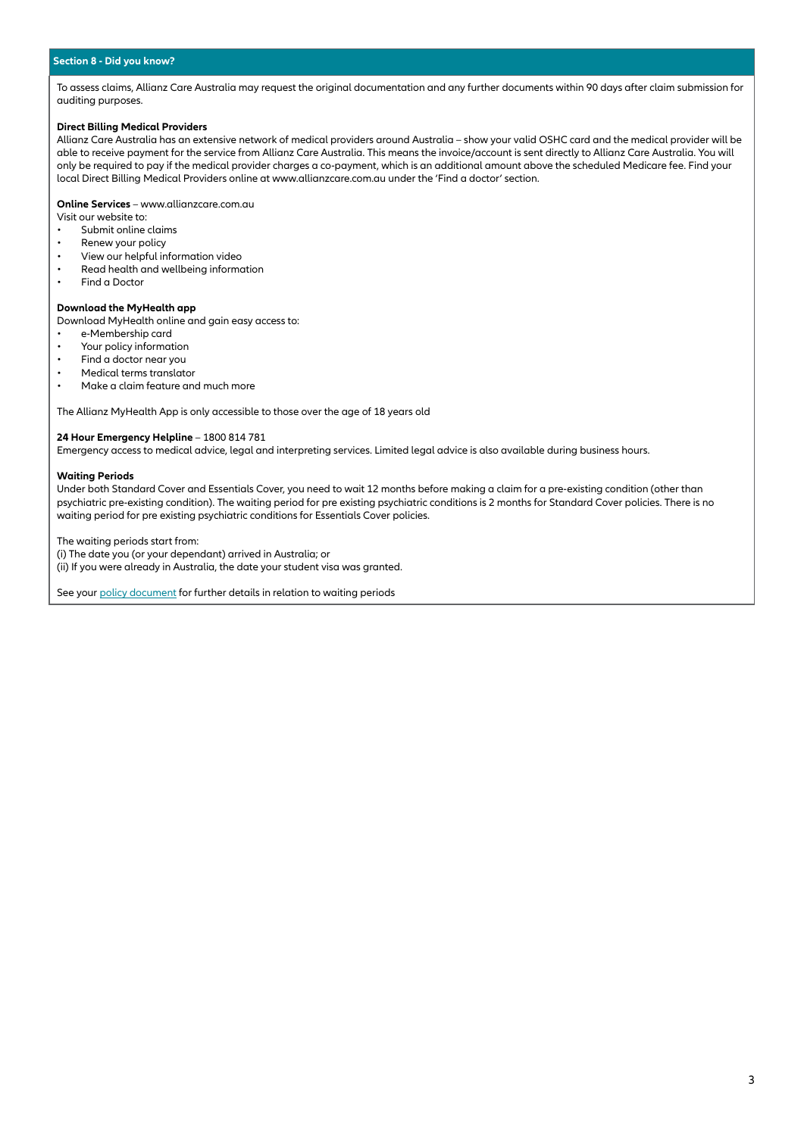## **Section 8 - Did you know?**

To assess claims, Allianz Care Australia may request the original documentation and any further documents within 90 days after claim submission for auditing purposes.

## **Direct Billing Medical Providers**

Allianz Care Australia has an extensive network of medical providers around Australia – show your valid OSHC card and the medical provider will be able to receive payment for the service from Allianz Care Australia. This means the invoice/account is sent directly to Allianz Care Australia. You will only be required to pay if the medical provider charges a co-payment, which is an additional amount above the scheduled Medicare fee. Find your local Direct Billing Medical Providers online at www.allianzcare.com.au under the 'Find a doctor' section.

**Online Services** – www.allianzcare.com.au

- Visit our website to:
- Submit online claims<br>• Renew your policy Renew your policy
- 
- View our helpful information video
- Read health and wellbeing information<br>• Find a Dector Find a Doctor

#### **Download the MyHealth app**

Download MyHealth online and gain easy access to:

- e-Membership card
- Your policy information
- Find a doctor near you
- Medical terms translator
- Make a claim feature and much more

The Allianz MyHealth App is only accessible to those over the age of 18 years old

### **24 Hour Emergency Helpline** – 1800 814 781

Emergency access to medical advice, legal and interpreting services. Limited legal advice is also available during business hours.

#### **Waiting Periods**

Under both Standard Cover and Essentials Cover, you need to wait 12 months before making a claim for a pre-existing condition (other than psychiatric pre-existing condition). The waiting period for pre existing psychiatric conditions is 2 months for Standard Cover policies. There is no waiting period for pre existing psychiatric conditions for Essentials Cover policies.

The waiting periods start from:

(i) The date you (or your dependant) arrived in Australia; or (ii) If you were already in Australia, the date your student visa was granted.

See your [policy document](https://www.allianzcare.com.au/en/policy-wording-documents.html) for further details in relation to waiting periods